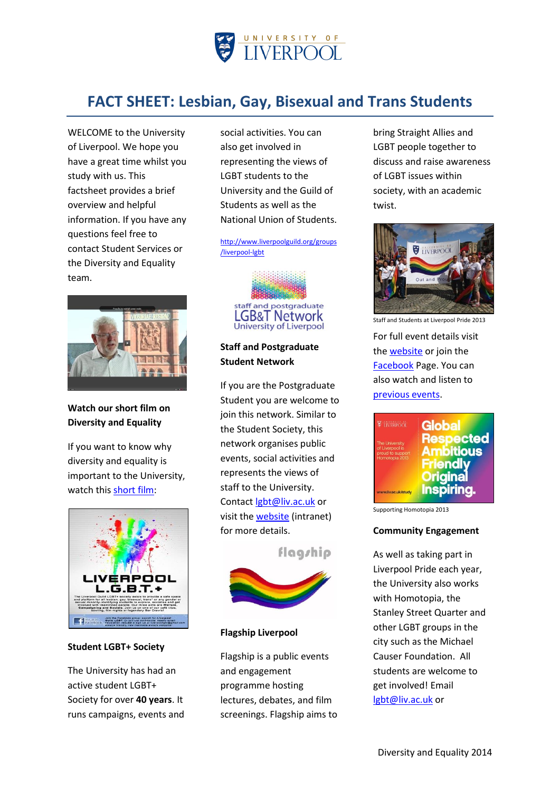

# **FACT SHEET: Lesbian, Gay, Bisexual and Trans Students**

WELCOME to the University of Liverpool. We hope you have a great time whilst you study with us. This factsheet provides a brief overview and helpful information. If you have any questions feel free to contact Student Services or the Diversity and Equality team.



# **Watch our short film on Diversity and Equality**

If you want to know why diversity and equality is important to the University, watch thi[s short film:](http://www.liv.ac.uk/hr/diversityandequality/)



#### **Student LGBT+ Society**

The University has had an active student LGBT+ Society for over **40 years**. It runs campaigns, events and social activities. You can also get involved in representing the views of LGBT students to the University and the Guild of Students as well as the National Union of Students.

[http://www.liverpoolguild.org/groups](http://www.liverpoolguild.org/groups/liverpool-lgbt) [/liverpool-lgbt](http://www.liverpoolguild.org/groups/liverpool-lgbt)



# **Staff and Postgraduate Student Network**

If you are the Postgraduate Student you are welcome to join this network. Similar to the Student Society, this network organises public events, social activities and represents the views of staff to the University. Contac[t lgbt@liv.ac.uk](mailto:lgbt@liv.ac.uk) or visit the [website](https://www.liv.ac.uk/lgbt/intranet/) (intranet) for more details.

flagship



### **Flagship Liverpool**

Flagship is a public events and engagement programme hosting lectures, debates, and film screenings. Flagship aims to bring Straight Allies and LGBT people together to discuss and raise awareness of LGBT issues within society, with an academic twist.



Staff and Students at Liverpool Pride 2013

For full event details visit the [website](http://www.liv.ac.uk/hr/diversityandequality/flagship/) or join the [Facebook](https://www.facebook.com/FlagshipLiverpool) Page. You can also watch and listen to [previous events.](http://www.liv.ac.uk/lgbt-history/media/)



Supporting Homotopia 2013

#### **Community Engagement**

As well as taking part in Liverpool Pride each year, the University also works with Homotopia, the Stanley Street Quarter and other LGBT groups in the city such as the Michael Causer Foundation. All students are welcome to get involved! Email [lgbt@liv.ac.uk](mailto:lgbt@liv.ac.uk) or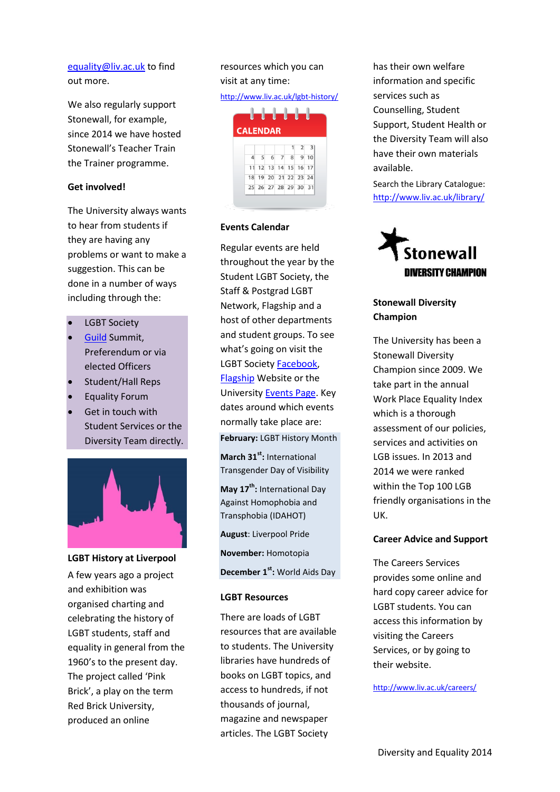# [equality@liv.ac.uk](mailto:equality@liv.ac.uk) to find out more.

We also regularly support Stonewall, for example, since 2014 we have hosted Stonewall's Teacher Train the Trainer programme.

### **Get involved!**

The University always wants to hear from students if they are having any problems or want to make a suggestion. This can be done in a number of ways including through the:

- LGBT Society
- [Guild](http://www.liverpoolguild.org/main-menu/change-it) Summit, Preferendum or via elected Officers
- Student/Hall Reps
- Equality Forum
- Get in touch with Student Services or the Diversity Team directly.



#### **LGBT History at Liverpool**

A few years ago a project and exhibition was organised charting and celebrating the history of LGBT students, staff and equality in general from the 1960's to the present day. The project called 'Pink Brick', a play on the term Red Brick University, produced an online

# resources which you can visit at any time:

### <http://www.liv.ac.uk/lgbt-history/>



### **Events Calendar**

Regular events are held throughout the year by the Student LGBT Society, the Staff & Postgrad LGBT Network, Flagship and a host of other departments and student groups. To see what's going on visit the LGBT Societ[y Facebook,](https://www.facebook.com/LiverpoolLGBT?fref=ts) [Flagship](http://www.liv.ac.uk/hr/diversityandequality/flagship/) Website or the University [Events Page.](http://www.liv.ac.uk/events/index.php) Key dates around which events normally take place are:

**February:** LGBT History Month

**March 31st :** International Transgender Day of Visibility

**May 17th :** International Day Against Homophobia and Transphobia (IDAHOT)

**August**: Liverpool Pride

**November:** Homotopia

**December 1st :** World Aids Day

#### **LGBT Resources**

There are loads of LGBT resources that are available to students. The University libraries have hundreds of books on LGBT topics, and access to hundreds, if not thousands of journal, magazine and newspaper articles. The LGBT Society

has their own welfare information and specific services such as Counselling, Student Support, Student Health or the Diversity Team will also have their own materials available.

Search the Library Catalogue: <http://www.liv.ac.uk/library/>



## **Stonewall Diversity Champion**

The University has been a Stonewall Diversity Champion since 2009. We take part in the annual Work Place Equality Index which is a thorough assessment of our policies, services and activities on LGB issues. In 2013 and 2014 we were ranked within the Top 100 LGB friendly organisations in the UK.

### **Career Advice and Support**

The Careers Services provides some online and hard copy career advice for LGBT students. You can access this information by visiting the Careers Services, or by going to their website.

<http://www.liv.ac.uk/careers/>